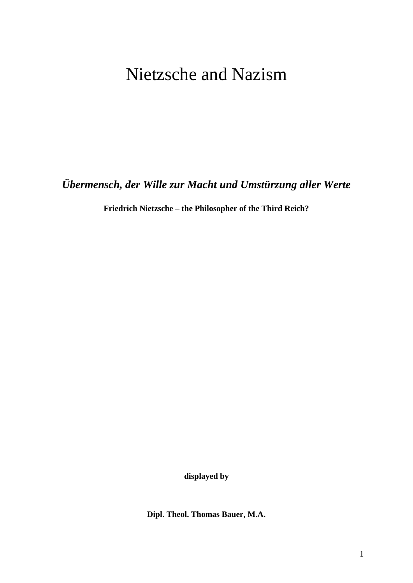## Nietzsche and Nazism

*Übermensch, der Wille zur Macht und Umstürzung aller Werte*

**Friedrich Nietzsche – the Philosopher of the Third Reich?**

**displayed by**

**Dipl. Theol. Thomas Bauer, M.A.**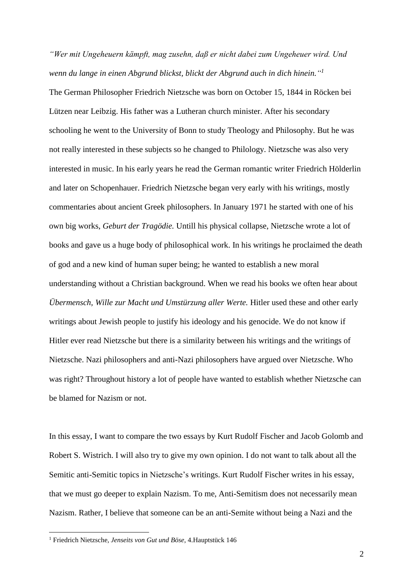*"Wer mit Ungeheuern kämpft, mag zusehn, daß er nicht dabei zum Ungeheuer wird. Und wenn du lange in einen Abgrund blickst, blickt der Abgrund auch in dich hinein." 1*

The German Philosopher Friedrich Nietzsche was born on October 15, 1844 in Röcken bei Lützen near Leibzig. His father was a Lutheran church minister. After his secondary schooling he went to the University of Bonn to study Theology and Philosophy. But he was not really interested in these subjects so he changed to Philology. Nietzsche was also very interested in music. In his early years he read the German romantic writer Friedrich Hölderlin and later on Schopenhauer. Friedrich Nietzsche began very early with his writings, mostly commentaries about ancient Greek philosophers. In January 1971 he started with one of his own big works, *Geburt der Tragödie.* Untill his physical collapse, Nietzsche wrote a lot of books and gave us a huge body of philosophical work. In his writings he proclaimed the death of god and a new kind of human super being; he wanted to establish a new moral understanding without a Christian background. When we read his books we often hear about *Übermensch, Wille zur Macht und Umstürzung aller Werte.* Hitler used these and other early writings about Jewish people to justify his ideology and his genocide. We do not know if Hitler ever read Nietzsche but there is a similarity between his writings and the writings of Nietzsche. Nazi philosophers and anti-Nazi philosophers have argued over Nietzsche. Who was right? Throughout history a lot of people have wanted to establish whether Nietzsche can be blamed for Nazism or not.

In this essay, I want to compare the two essays by Kurt Rudolf Fischer and Jacob Golomb and Robert S. Wistrich. I will also try to give my own opinion. I do not want to talk about all the Semitic anti-Semitic topics in Nietzsche's writings. Kurt Rudolf Fischer writes in his essay, that we must go deeper to explain Nazism. To me, Anti-Semitism does not necessarily mean Nazism. Rather, I believe that someone can be an anti-Semite without being a Nazi and the

<sup>1</sup> Friedrich Nietzsche, *Jenseits von Gut und Böse*, 4.Hauptstück 146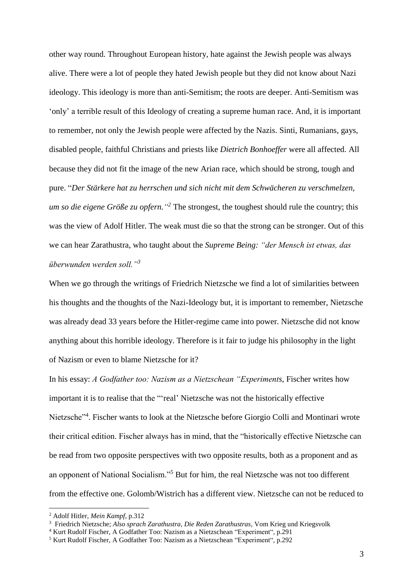other way round. Throughout European history, hate against the Jewish people was always alive. There were a lot of people they hated Jewish people but they did not know about Nazi ideology. This ideology is more than anti-Semitism; the roots are deeper. Anti-Semitism was 'only' a terrible result of this Ideology of creating a supreme human race. And, it is important to remember, not only the Jewish people were affected by the Nazis. Sinti, Rumanians, gays, disabled people, faithful Christians and priests like *Dietrich Bonhoeffer* were all affected*.* All because they did not fit the image of the new Arian race, which should be strong, tough and pure. "*Der Stärkere hat zu herrschen und sich nicht mit dem Schwächeren zu verschmelzen, um so die eigene Größe zu opfern." <sup>2</sup>* The strongest, the toughest should rule the country; this was the view of Adolf Hitler. The weak must die so that the strong can be stronger. Out of this we can hear Zarathustra, who taught about the *Supreme Being: "der Mensch ist etwas, das überwunden werden soll."<sup>3</sup>*

When we go through the writings of Friedrich Nietzsche we find a lot of similarities between his thoughts and the thoughts of the Nazi-Ideology but, it is important to remember, Nietzsche was already dead 33 years before the Hitler-regime came into power. Nietzsche did not know anything about this horrible ideology. Therefore is it fair to judge his philosophy in the light of Nazism or even to blame Nietzsche for it?

In his essay: *A Godfather too: Nazism as a Nietzschean "Experiments,* Fischer writes how important it is to realise that the "'real' Nietzsche was not the historically effective Nietzsche"<sup>4</sup>. Fischer wants to look at the Nietzsche before Giorgio Colli and Montinari wrote their critical edition. Fischer always has in mind, that the "historically effective Nietzsche can be read from two opposite perspectives with two opposite results, both as a proponent and as an opponent of National Socialism."<sup>5</sup> But for him, the real Nietzsche was not too different from the effective one. Golomb/Wistrich has a different view. Nietzsche can not be reduced to

<sup>2</sup> Adolf Hitler*, Mein Kampf*, p.312

<sup>3</sup> Friedrich Nietzsche; *Also sprach Zarathustra, Die Reden Zarathustras,* Vom Krieg und Kriegsvolk

<sup>4</sup> Kurt Rudolf Fischer, A Godfather Too: Nazism as a Nietzschean "Experiment", p.291

<sup>5</sup> Kurt Rudolf Fischer, A Godfather Too: Nazism as a Nietzschean "Experiment", p.292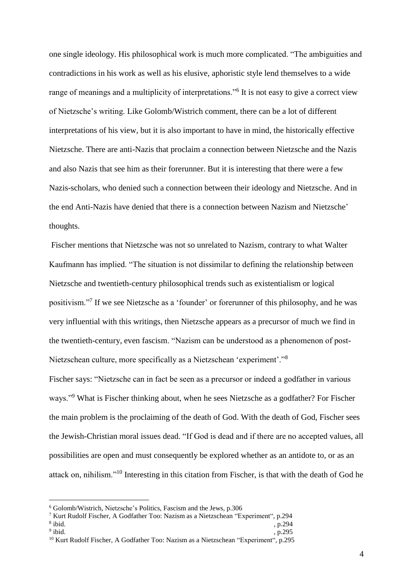one single ideology. His philosophical work is much more complicated. "The ambiguities and contradictions in his work as well as his elusive, aphoristic style lend themselves to a wide range of meanings and a multiplicity of interpretations."<sup>6</sup> It is not easy to give a correct view of Nietzsche's writing. Like Golomb/Wistrich comment, there can be a lot of different interpretations of his view, but it is also important to have in mind, the historically effective Nietzsche. There are anti-Nazis that proclaim a connection between Nietzsche and the Nazis and also Nazis that see him as their forerunner. But it is interesting that there were a few Nazis-scholars, who denied such a connection between their ideology and Nietzsche. And in the end Anti-Nazis have denied that there is a connection between Nazism and Nietzsche' thoughts.

Fischer mentions that Nietzsche was not so unrelated to Nazism, contrary to what Walter Kaufmann has implied. "The situation is not dissimilar to defining the relationship between Nietzsche and twentieth-century philosophical trends such as existentialism or logical positivism."<sup>7</sup> If we see Nietzsche as a 'founder' or forerunner of this philosophy, and he was very influential with this writings, then Nietzsche appears as a precursor of much we find in the twentieth-century, even fascism. "Nazism can be understood as a phenomenon of post-Nietzschean culture, more specifically as a Nietzschean 'experiment'."<sup>8</sup>

Fischer says: "Nietzsche can in fact be seen as a precursor or indeed a godfather in various ways."<sup>9</sup> What is Fischer thinking about, when he sees Nietzsche as a godfather? For Fischer the main problem is the proclaiming of the death of God. With the death of God, Fischer sees the Jewish-Christian moral issues dead. "If God is dead and if there are no accepted values, all possibilities are open and must consequently be explored whether as an antidote to, or as an attack on, nihilism."<sup>10</sup> Interesting in this citation from Fischer, is that with the death of God he

<sup>6</sup> Golomb/Wistrich, Nietzsche's Politics, Fascism and the Jews, p.306

<sup>7</sup> Kurt Rudolf Fischer, A Godfather Too: Nazism as a Nietzschean "Experiment", p.294

<sup>&</sup>lt;sup>8</sup> ibid.  $i$ bid.  $, p.294$ 

 $9$  ibid. ibid. , p.295

<sup>&</sup>lt;sup>10</sup> Kurt Rudolf Fischer, A Godfather Too: Nazism as a Nietzschean "Experiment", p.295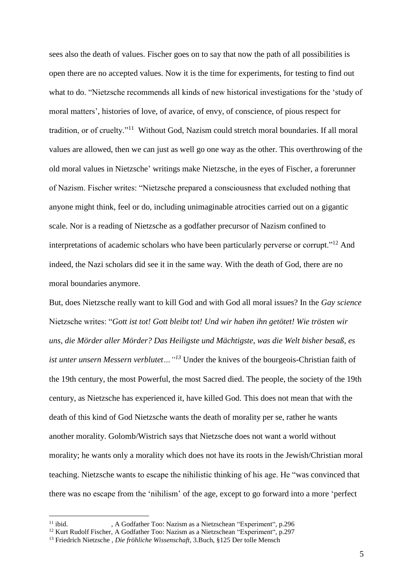sees also the death of values. Fischer goes on to say that now the path of all possibilities is open there are no accepted values. Now it is the time for experiments, for testing to find out what to do. "Nietzsche recommends all kinds of new historical investigations for the 'study of moral matters', histories of love, of avarice, of envy, of conscience, of pious respect for tradition, or of cruelty."<sup>11</sup> Without God, Nazism could stretch moral boundaries. If all moral values are allowed, then we can just as well go one way as the other. This overthrowing of the old moral values in Nietzsche' writings make Nietzsche, in the eyes of Fischer, a forerunner of Nazism. Fischer writes: "Nietzsche prepared a consciousness that excluded nothing that anyone might think, feel or do, including unimaginable atrocities carried out on a gigantic scale. Nor is a reading of Nietzsche as a godfather precursor of Nazism confined to interpretations of academic scholars who have been particularly perverse or corrupt."<sup>12</sup> And indeed, the Nazi scholars did see it in the same way. With the death of God, there are no moral boundaries anymore.

But, does Nietzsche really want to kill God and with God all moral issues? In the *Gay science* Nietzsche writes: "*Gott ist tot! Gott bleibt tot! Und wir haben ihn getötet! Wie trösten wir uns, die Mörder aller Mörder? Das Heiligste und Mächtigste, was die Welt bisher besaß, es ist unter unsern Messern verblutet…"<sup>13</sup>* Under the knives of the bourgeois-Christian faith of the 19th century, the most Powerful, the most Sacred died. The people, the society of the 19th century, as Nietzsche has experienced it, have killed God. This does not mean that with the death of this kind of God Nietzsche wants the death of morality per se, rather he wants another morality. Golomb/Wistrich says that Nietzsche does not want a world without morality; he wants only a morality which does not have its roots in the Jewish/Christian moral teaching. Nietzsche wants to escape the nihilistic thinking of his age. He "was convinced that there was no escape from the 'nihilism' of the age, except to go forward into a more 'perfect

<u>.</u>

<sup>11</sup> ibid. , A Godfather Too: Nazism as a Nietzschean "Experiment", p.296

<sup>&</sup>lt;sup>12</sup> Kurt Rudolf Fischer, A Godfather Too: Nazism as a Nietzschean "Experiment", p.297

<sup>13</sup> Friedrich Nietzsche , *Die fröhliche Wissenschaft*, 3.Buch, §125 Der tolle Mensch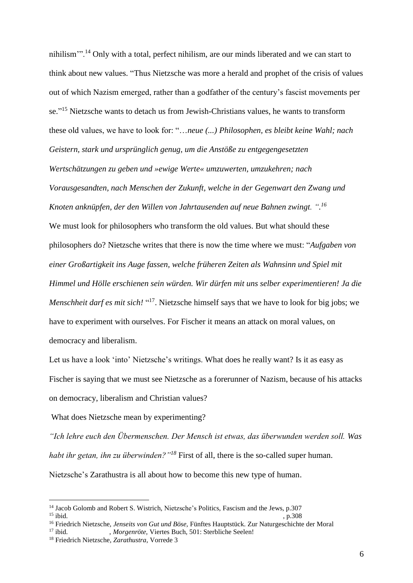nihilism'".<sup>14</sup> Only with a total, perfect nihilism, are our minds liberated and we can start to think about new values. "Thus Nietzsche was more a herald and prophet of the crisis of values out of which Nazism emerged, rather than a godfather of the century's fascist movements per se."<sup>15</sup> Nietzsche wants to detach us from Jewish-Christians values, he wants to transform these old values, we have to look for: "…*neue (...) Philosophen, es bleibt keine Wahl; nach Geistern, stark und ursprünglich genug, um die Anstöße zu entgegengesetzten* 

*Wertschätzungen zu geben und »ewige Werte« umzuwerten, umzukehren; nach Vorausgesandten, nach Menschen der Zukunft, welche in der Gegenwart den Zwang und Knoten anknüpfen, der den Willen von Jahrtausenden auf neue Bahnen zwingt. ". 16*

We must look for philosophers who transform the old values. But what should these philosophers do? Nietzsche writes that there is now the time where we must: "*Aufgaben von einer Großartigkeit ins Auge fassen, welche früheren Zeiten als Wahnsinn und Spiel mit Himmel und Hölle erschienen sein würden. Wir dürfen mit uns selber experimentieren! Ja die*  Menschheit darf es mit sich! "<sup>17</sup>. Nietzsche himself says that we have to look for big jobs; we have to experiment with ourselves. For Fischer it means an attack on moral values, on democracy and liberalism.

Let us have a look 'into' Nietzsche's writings. What does he really want? Is it as easy as Fischer is saying that we must see Nietzsche as a forerunner of Nazism, because of his attacks on democracy, liberalism and Christian values?

What does Nietzsche mean by experimenting?

*"Ich lehre euch den Übermenschen. Der Mensch ist etwas, das überwunden werden soll. Was habt ihr getan, ihn zu überwinden?"<sup>18</sup>* First of all, there is the so-called super human. Nietzsche's Zarathustra is all about how to become this new type of human.

<sup>&</sup>lt;sup>14</sup> Jacob Golomb and Robert S. Wistrich, Nietzsche's Politics, Fascism and the Jews, p.307  $^{15}$  ibid.  $\,$ , p.308

<sup>16</sup> Friedrich Nietzsche, *Jenseits von Gut und Böse,* Fünftes Hauptstück. Zur Naturgeschichte der Moral

<sup>17</sup> ibid. , *Morgenröte,* Viertes Buch, 501: Sterbliche Seelen!

<sup>18</sup> Friedrich Nietzsche, *Zarathustra*, Vorrede 3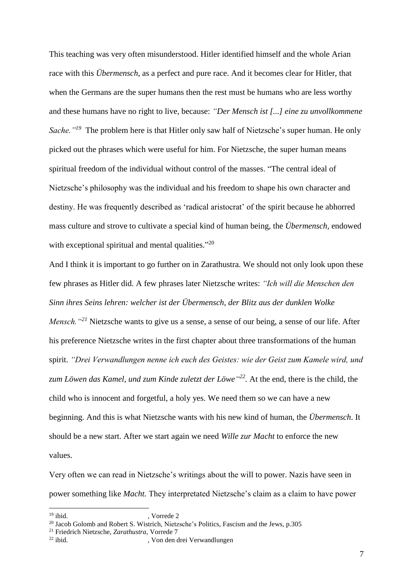This teaching was very often misunderstood. Hitler identified himself and the whole Arian race with this *Übermensch*, as a perfect and pure race. And it becomes clear for Hitler, that when the Germans are the super humans then the rest must be humans who are less worthy and these humans have no right to live, because: *"Der Mensch ist [...] eine zu unvollkommene Sache."<sup>19</sup>* The problem here is that Hitler only saw half of Nietzsche's super human. He only picked out the phrases which were useful for him. For Nietzsche, the super human means spiritual freedom of the individual without control of the masses. "The central ideal of Nietzsche's philosophy was the individual and his freedom to shape his own character and destiny. He was frequently described as 'radical aristocrat' of the spirit because he abhorred mass culture and strove to cultivate a special kind of human being, the *Übermensch,* endowed with exceptional spiritual and mental qualities."<sup>20</sup>

And I think it is important to go further on in Zarathustra. We should not only look upon these few phrases as Hitler did. A few phrases later Nietzsche writes: *"Ich will die Menschen den Sinn ihres Seins lehren: welcher ist der Übermensch, der Blitz aus der dunklen Wolke Mensch.* "<sup>21</sup> Nietzsche wants to give us a sense, a sense of our being, a sense of our life. After his preference Nietzsche writes in the first chapter about three transformations of the human spirit. *"Drei Verwandlungen nenne ich euch des Geistes: wie der Geist zum Kamele wird, und zum Löwen das Kamel, und zum Kinde zuletzt der Löwe" 22 .* At the end, there is the child, the child who is innocent and forgetful, a holy yes. We need them so we can have a new beginning. And this is what Nietzsche wants with his new kind of human, the *Übermensch*. It should be a new start. After we start again we need *Wille zur Macht* to enforce the new values.

Very often we can read in Nietzsche's writings about the will to power. Nazis have seen in power something like *Macht.* They interpretated Nietzsche's claim as a claim to have power

<sup>&</sup>lt;sup>19</sup> ibid. **y** vorrede 2

<sup>&</sup>lt;sup>20</sup> Jacob Golomb and Robert S. Wistrich, Nietzsche's Politics, Fascism and the Jews, p.305

<sup>21</sup> Friedrich Nietzsche, *Zarathustra*, Vorrede 7

<sup>,</sup> Von den drei Verwandlungen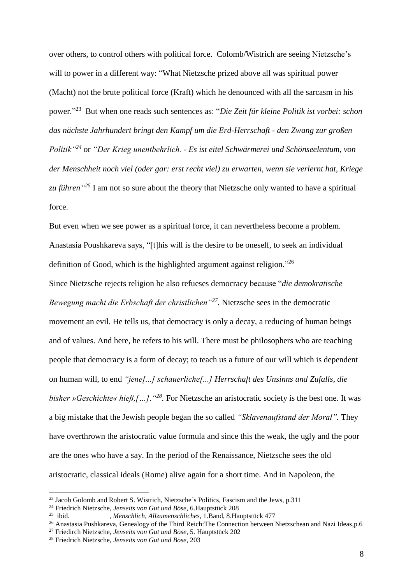over others, to control others with political force. Colomb/Wistrich are seeing Nietzsche's will to power in a different way: "What Nietzsche prized above all was spiritual power (Macht) not the brute political force (Kraft) which he denounced with all the sarcasm in his power." <sup>23</sup> But when one reads such sentences as: "*Die Zeit für kleine Politik ist vorbei: schon das nächste Jahrhundert bringt den Kampf um die Erd-Herrschaft - den Zwang zur großen Politik"<sup>24</sup>* or *"Der Krieg unentbehrlich. - Es ist eitel Schwärmerei und Schönseelentum, von der Menschheit noch viel (oder gar: erst recht viel) zu erwarten, wenn sie verlernt hat, Kriege zu führen" <sup>25</sup>* I am not so sure about the theory that Nietzsche only wanted to have a spiritual force.

But even when we see power as a spiritual force, it can nevertheless become a problem. Anastasia Poushkareva says, "[t]his will is the desire to be oneself, to seek an individual definition of Good, which is the highlighted argument against religion."<sup>26</sup>

Since Nietzsche rejects religion he also refueses democracy because "*die demokratische Bewegung macht die Erbschaft der christlichen"<sup>27</sup> .* Nietzsche sees in the democratic movement an evil. He tells us, that democracy is only a decay, a reducing of human beings and of values. And here, he refers to his will. There must be philosophers who are teaching people that democracy is a form of decay; to teach us a future of our will which is dependent on human will, to end *"jene[...] schauerliche[...] Herrschaft des Unsinns und Zufalls, die bisher »Geschichte« hieß,[…].* "<sup>28</sup>. For Nietzsche an aristocratic society is the best one. It was a big mistake that the Jewish people began the so called *"Sklavenaufstand der Moral".* They have overthrown the aristocratic value formula and since this the weak, the ugly and the poor are the ones who have a say. In the period of the Renaissance, Nietzsche sees the old aristocratic, classical ideals (Rome) alive again for a short time. And in Napoleon, the

<u>.</u>

 $^{23}$  Jacob Golomb and Robert S. Wistrich, Nietzsche's Politics, Fascism and the Jews, p.311

<sup>24</sup> Friedrich Nietzsche, *Jenseits von Gut und Böse*, 6.Hauptstück 208

 $25$  ibid. ibid. , *Menschlich, Allzumenschliches*, 1.Band, 8.Hauptstück 477

<sup>&</sup>lt;sup>26</sup> Anastasia Pushkareva, Genealogy of the Third Reich: The Connection between Nietzschean and Nazi Ideas, p.6

<sup>27</sup> Friedirch Nietzsche, *Jenseits von Gut und Böse*, 5. Hauptstück 202

<sup>28</sup> Friedrich Nietzsche, *Jenseits von Gut und Böse*, 203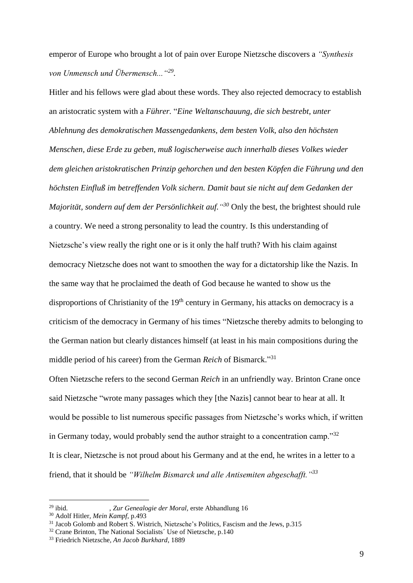emperor of Europe who brought a lot of pain over Europe Nietzsche discovers a *"Synthesis von Unmensch und Übermensch..."<sup>29</sup> .*

Hitler and his fellows were glad about these words. They also rejected democracy to establish an aristocratic system with a *Führer.* "*Eine Weltanschauung, die sich bestrebt, unter Ablehnung des demokratischen Massengedankens, dem besten Volk, also den höchsten Menschen, diese Erde zu geben, muß logischerweise auch innerhalb dieses Volkes wieder dem gleichen aristokratischen Prinzip gehorchen und den besten Köpfen die Führung und den höchsten Einfluß im betreffenden Volk sichern. Damit baut sie nicht auf dem Gedanken der Majorität, sondern auf dem der Persönlichkeit auf." <sup>30</sup>* Only the best, the brightest should rule a country. We need a strong personality to lead the country. Is this understanding of Nietzsche's view really the right one or is it only the half truth? With his claim against democracy Nietzsche does not want to smoothen the way for a dictatorship like the Nazis. In the same way that he proclaimed the death of God because he wanted to show us the disproportions of Christianity of the 19<sup>th</sup> century in Germany, his attacks on democracy is a criticism of the democracy in Germany of his times "Nietzsche thereby admits to belonging to the German nation but clearly distances himself (at least in his main compositions during the middle period of his career) from the German *Reich* of Bismarck." 31

Often Nietzsche refers to the second German *Reich* in an unfriendly way. Brinton Crane once said Nietzsche "wrote many passages which they [the Nazis] cannot bear to hear at all. It would be possible to list numerous specific passages from Nietzsche's works which, if written in Germany today, would probably send the author straight to a concentration camp."<sup>32</sup> It is clear, Nietzsche is not proud about his Germany and at the end, he writes in a letter to a friend, that it should be *"Wilhelm Bismarck und alle Antisemiten abgeschafft."<sup>33</sup>*

<sup>29</sup> ibid. , *Zur Genealogie der Moral,* erste Abhandlung 16

<sup>30</sup> Adolf Hitler*, Mein Kampf*, p.493

<sup>&</sup>lt;sup>31</sup> Jacob Golomb and Robert S. Wistrich, Nietzsche's Politics, Fascism and the Jews, p.315

 $32$  Crane Brinton, The National Socialists´ Use of Nietzsche, p.140

<sup>33</sup> Friedrich Nietzsche*, An Jacob Burkhard*, 1889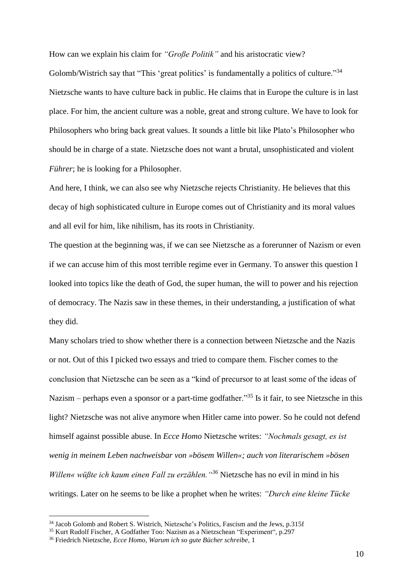How can we explain his claim for *"Große Politik"* and his aristocratic view?

Golomb/Wistrich say that "This 'great politics' is fundamentally a politics of culture."<sup>34</sup> Nietzsche wants to have culture back in public. He claims that in Europe the culture is in last place. For him, the ancient culture was a noble, great and strong culture. We have to look for Philosophers who bring back great values. It sounds a little bit like Plato's Philosopher who should be in charge of a state. Nietzsche does not want a brutal, unsophisticated and violent *Führer*; he is looking for a Philosopher.

And here, I think, we can also see why Nietzsche rejects Christianity. He believes that this decay of high sophisticated culture in Europe comes out of Christianity and its moral values and all evil for him, like nihilism, has its roots in Christianity.

The question at the beginning was, if we can see Nietzsche as a forerunner of Nazism or even if we can accuse him of this most terrible regime ever in Germany. To answer this question I looked into topics like the death of God, the super human, the will to power and his rejection of democracy. The Nazis saw in these themes, in their understanding, a justification of what they did.

Many scholars tried to show whether there is a connection between Nietzsche and the Nazis or not. Out of this I picked two essays and tried to compare them. Fischer comes to the conclusion that Nietzsche can be seen as a "kind of precursor to at least some of the ideas of Nazism – perhaps even a sponsor or a part-time godfather.<sup>35</sup> Is it fair, to see Nietzsche in this light? Nietzsche was not alive anymore when Hitler came into power. So he could not defend himself against possible abuse. In *Ecce Homo* Nietzsche writes: *"Nochmals gesagt, es ist wenig in meinem Leben nachweisbar von »bösem Willen«; auch von literarischem »bösen Willen« wüßte ich kaum einen Fall zu erzählen."<sup>36</sup>* Nietzsche has no evil in mind in his writings. Later on he seems to be like a prophet when he writes: *"Durch eine kleine Tücke* 

<u>.</u>

<sup>&</sup>lt;sup>34</sup> Jacob Golomb and Robert S. Wistrich, Nietzsche's Politics, Fascism and the Jews, p.315f

<sup>35</sup> Kurt Rudolf Fischer, A Godfather Too: Nazism as a Nietzschean "Experiment", p.297

<sup>36</sup> Friedrich Nietzsche, *Ecce Homo, Warum ich so gute Bücher schreibe*, 1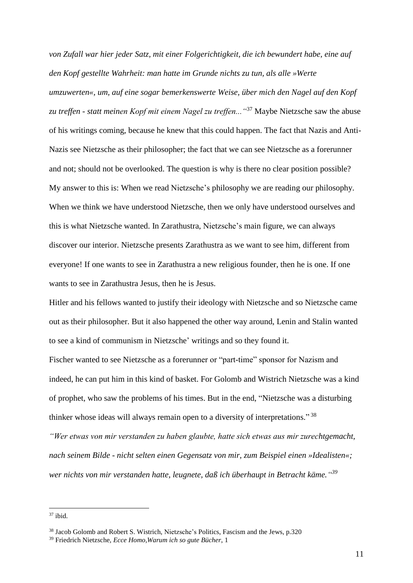*von Zufall war hier jeder Satz, mit einer Folgerichtigkeit, die ich bewundert habe, eine auf den Kopf gestellte Wahrheit: man hatte im Grunde nichts zu tun, als alle »Werte umzuwerten«, um, auf eine sogar bemerkenswerte Weise, über mich den Nagel auf den Kopf zu treffen - statt meinen Kopf mit einem Nagel zu treffen..."*<sup>37</sup> Maybe Nietzsche saw the abuse of his writings coming, because he knew that this could happen. The fact that Nazis and Anti-Nazis see Nietzsche as their philosopher; the fact that we can see Nietzsche as a forerunner and not; should not be overlooked. The question is why is there no clear position possible? My answer to this is: When we read Nietzsche's philosophy we are reading our philosophy. When we think we have understood Nietzsche, then we only have understood ourselves and this is what Nietzsche wanted. In Zarathustra, Nietzsche's main figure, we can always discover our interior. Nietzsche presents Zarathustra as we want to see him, different from everyone! If one wants to see in Zarathustra a new religious founder, then he is one. If one wants to see in Zarathustra Jesus, then he is Jesus.

Hitler and his fellows wanted to justify their ideology with Nietzsche and so Nietzsche came out as their philosopher. But it also happened the other way around, Lenin and Stalin wanted to see a kind of communism in Nietzsche' writings and so they found it.

Fischer wanted to see Nietzsche as a forerunner or "part-time" sponsor for Nazism and indeed, he can put him in this kind of basket. For Golomb and Wistrich Nietzsche was a kind of prophet, who saw the problems of his times. But in the end, "Nietzsche was a disturbing thinker whose ideas will always remain open to a diversity of interpretations."<sup>38</sup>

*"Wer etwas von mir verstanden zu haben glaubte, hatte sich etwas aus mir zurechtgemacht, nach seinem Bilde - nicht selten einen Gegensatz von mir, zum Beispiel einen »Idealisten«; wer nichts von mir verstanden hatte, leugnete, daß ich überhaupt in Betracht käme." 39*

 $37$  ibid.

<sup>&</sup>lt;sup>38</sup> Jacob Golomb and Robert S. Wistrich, Nietzsche's Politics, Fascism and the Jews, p.320

<sup>39</sup> Friedrich Nietzsche, *Ecce Homo,Warum ich so gute Bücher*, 1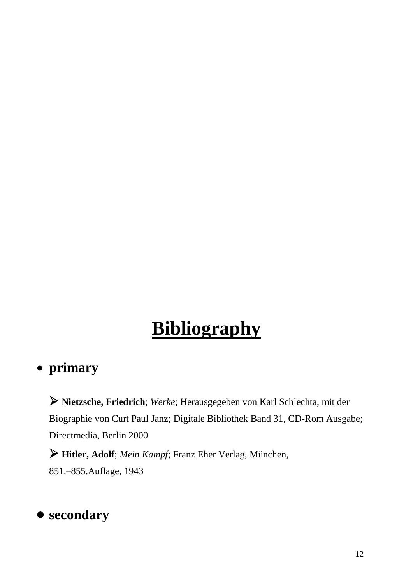## **Bibliography**

## • **primary**

➢ **Nietzsche, Friedrich**; *Werke*; Herausgegeben von Karl Schlechta, mit der Biographie von Curt Paul Janz; Digitale Bibliothek Band 31, CD-Rom Ausgabe; Directmedia, Berlin 2000

➢ **Hitler, Adolf**; *Mein Kampf*; Franz Eher Verlag, München, 851.–855.Auflage, 1943

## • **secondary**